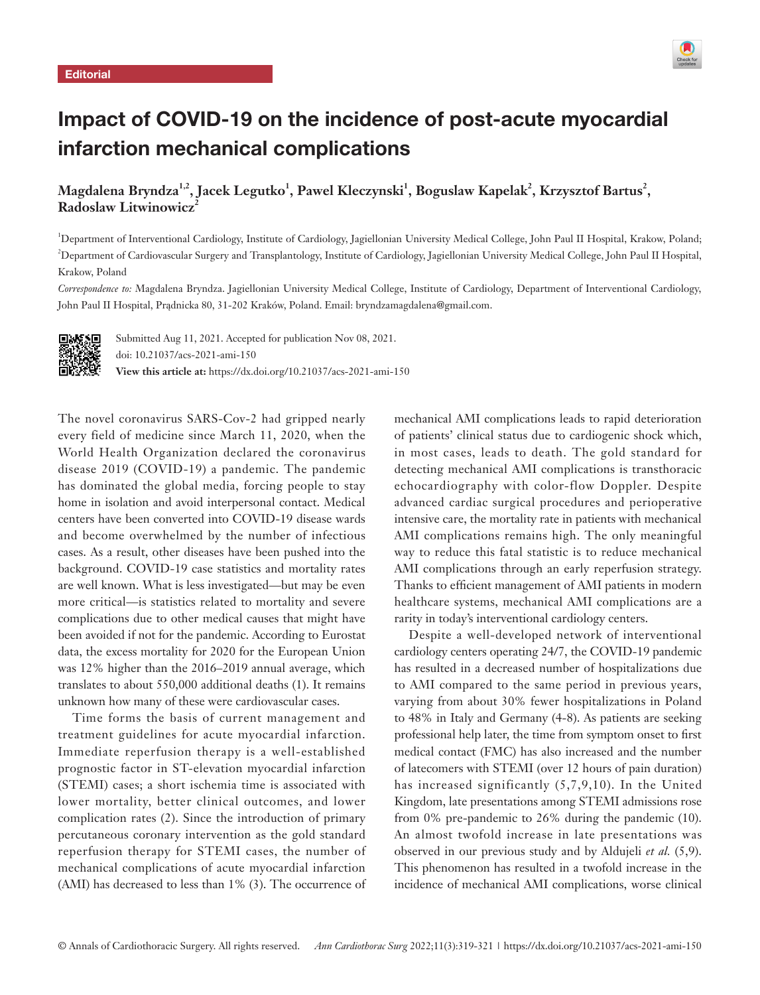

# Impact of COVID-19 on the incidence of post-acute myocardial infarction mechanical complications

 $\mathbf{M}$ agdalena Bryndza $^{1,2}$ , Jacek Legutko $^{1}$ , Pawel Kleczynski $^{1}$ , Boguslaw Kapelak $^{2}$ , Krzysztof Bartus $^{2}$ , **Radoslaw Litwinowicz**<sup>2</sup>

1 Department of Interventional Cardiology, Institute of Cardiology, Jagiellonian University Medical College, John Paul II Hospital, Krakow, Poland; 2 Department of Cardiovascular Surgery and Transplantology, Institute of Cardiology, Jagiellonian University Medical College, John Paul II Hospital, Krakow, Poland

*Correspondence to:* Magdalena Bryndza. Jagiellonian University Medical College, Institute of Cardiology, Department of Interventional Cardiology, John Paul II Hospital, Prądnicka 80, 31-202 Kraków, Poland. Email: bryndzamagdalena@gmail.com.



Submitted Aug 11, 2021. Accepted for publication Nov 08, 2021. doi: 10.21037/acs-2021-ami-150 **View this article at:** https://dx.doi.org/10.21037/acs-2021-ami-150

The novel coronavirus SARS-Cov-2 had gripped nearly every field of medicine since March 11, 2020, when the World Health Organization declared the coronavirus disease 2019 (COVID-19) a pandemic. The pandemic has dominated the global media, forcing people to stay home in isolation and avoid interpersonal contact. Medical centers have been converted into COVID-19 disease wards and become overwhelmed by the number of infectious cases. As a result, other diseases have been pushed into the background. COVID-19 case statistics and mortality rates are well known. What is less investigated—but may be even more critical—is statistics related to mortality and severe complications due to other medical causes that might have been avoided if not for the pandemic. According to Eurostat data, the excess mortality for 2020 for the European Union was 12% higher than the 2016–2019 annual average, which translates to about 550,000 additional deaths (1). It remains unknown how many of these were cardiovascular cases.

Time forms the basis of current management and treatment guidelines for acute myocardial infarction. Immediate reperfusion therapy is a well-established prognostic factor in ST-elevation myocardial infarction (STEMI) cases; a short ischemia time is associated with lower mortality, better clinical outcomes, and lower complication rates (2). Since the introduction of primary percutaneous coronary intervention as the gold standard reperfusion therapy for STEMI cases, the number of mechanical complications of acute myocardial infarction (AMI) has decreased to less than 1% (3). The occurrence of mechanical AMI complications leads to rapid deterioration of patients' clinical status due to cardiogenic shock which, in most cases, leads to death. The gold standard for detecting mechanical AMI complications is transthoracic echocardiography with color-flow Doppler. Despite advanced cardiac surgical procedures and perioperative intensive care, the mortality rate in patients with mechanical AMI complications remains high. The only meaningful way to reduce this fatal statistic is to reduce mechanical AMI complications through an early reperfusion strategy. Thanks to efficient management of AMI patients in modern healthcare systems, mechanical AMI complications are a rarity in today's interventional cardiology centers.

Despite a well-developed network of interventional cardiology centers operating 24/7, the COVID-19 pandemic has resulted in a decreased number of hospitalizations due to AMI compared to the same period in previous years, varying from about 30% fewer hospitalizations in Poland to 48% in Italy and Germany (4-8). As patients are seeking professional help later, the time from symptom onset to first medical contact (FMC) has also increased and the number of latecomers with STEMI (over 12 hours of pain duration) has increased significantly (5,7,9,10). In the United Kingdom, late presentations among STEMI admissions rose from 0% pre-pandemic to 26% during the pandemic (10). An almost twofold increase in late presentations was observed in our previous study and by Aldujeli *et al.* (5,9). This phenomenon has resulted in a twofold increase in the incidence of mechanical AMI complications, worse clinical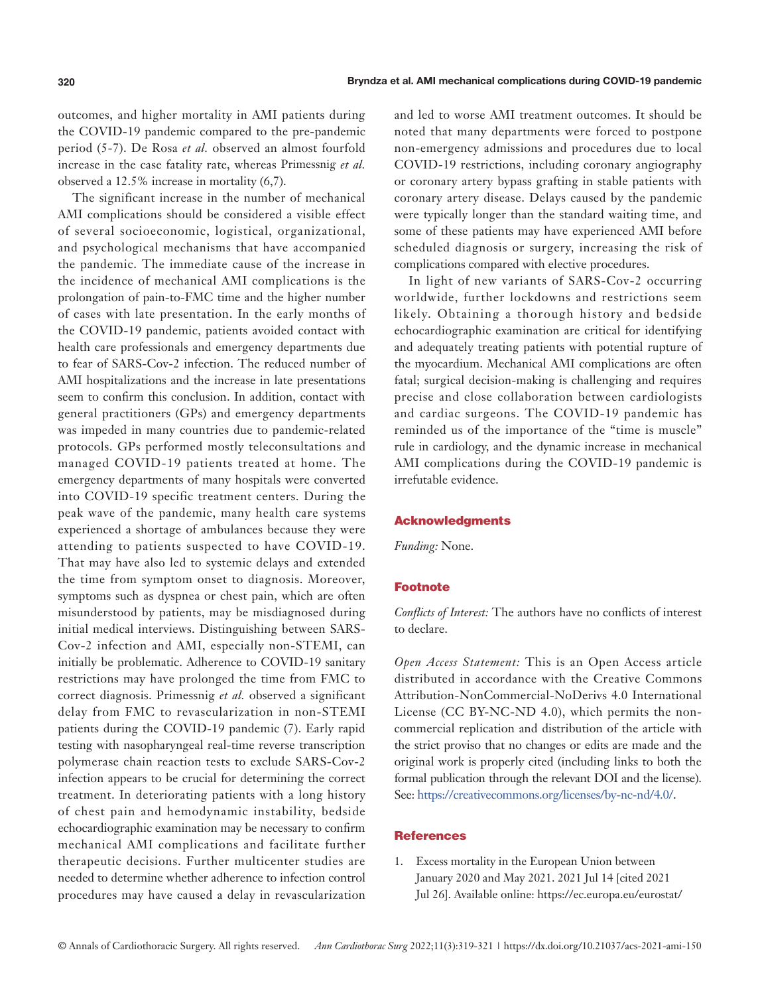outcomes, and higher mortality in AMI patients during the COVID-19 pandemic compared to the pre-pandemic period (5-7). De Rosa *et al.* observed an almost fourfold increase in the case fatality rate, whereas Primessnig *et al.* observed a 12.5% increase in mortality (6,7).

The significant increase in the number of mechanical AMI complications should be considered a visible effect of several socioeconomic, logistical, organizational, and psychological mechanisms that have accompanied the pandemic. The immediate cause of the increase in the incidence of mechanical AMI complications is the prolongation of pain-to-FMC time and the higher number of cases with late presentation. In the early months of the COVID-19 pandemic, patients avoided contact with health care professionals and emergency departments due to fear of SARS-Cov-2 infection. The reduced number of AMI hospitalizations and the increase in late presentations seem to confirm this conclusion. In addition, contact with general practitioners (GPs) and emergency departments was impeded in many countries due to pandemic-related protocols. GPs performed mostly teleconsultations and managed COVID-19 patients treated at home. The emergency departments of many hospitals were converted into COVID-19 specific treatment centers. During the peak wave of the pandemic, many health care systems experienced a shortage of ambulances because they were attending to patients suspected to have COVID-19. That may have also led to systemic delays and extended the time from symptom onset to diagnosis. Moreover, symptoms such as dyspnea or chest pain, which are often misunderstood by patients, may be misdiagnosed during initial medical interviews. Distinguishing between SARS-Cov-2 infection and AMI, especially non-STEMI, can initially be problematic. Adherence to COVID-19 sanitary restrictions may have prolonged the time from FMC to correct diagnosis. Primessnig *et al.* observed a significant delay from FMC to revascularization in non-STEMI patients during the COVID-19 pandemic (7). Early rapid testing with nasopharyngeal real-time reverse transcription polymerase chain reaction tests to exclude SARS-Cov-2 infection appears to be crucial for determining the correct treatment. In deteriorating patients with a long history of chest pain and hemodynamic instability, bedside echocardiographic examination may be necessary to confirm mechanical AMI complications and facilitate further therapeutic decisions. Further multicenter studies are needed to determine whether adherence to infection control procedures may have caused a delay in revascularization and led to worse AMI treatment outcomes. It should be noted that many departments were forced to postpone non-emergency admissions and procedures due to local COVID-19 restrictions, including coronary angiography or coronary artery bypass grafting in stable patients with coronary artery disease. Delays caused by the pandemic were typically longer than the standard waiting time, and some of these patients may have experienced AMI before scheduled diagnosis or surgery, increasing the risk of complications compared with elective procedures.

In light of new variants of SARS-Cov-2 occurring worldwide, further lockdowns and restrictions seem likely. Obtaining a thorough history and bedside echocardiographic examination are critical for identifying and adequately treating patients with potential rupture of the myocardium. Mechanical AMI complications are often fatal; surgical decision-making is challenging and requires precise and close collaboration between cardiologists and cardiac surgeons. The COVID-19 pandemic has reminded us of the importance of the "time is muscle" rule in cardiology, and the dynamic increase in mechanical AMI complications during the COVID-19 pandemic is irrefutable evidence.

### Acknowledgments

*Funding:* None.

## Footnote

*Conflicts of Interest:* The authors have no conflicts of interest to declare.

*Open Access Statement:* This is an Open Access article distributed in accordance with the Creative Commons Attribution-NonCommercial-NoDerivs 4.0 International License (CC BY-NC-ND 4.0), which permits the noncommercial replication and distribution of the article with the strict proviso that no changes or edits are made and the original work is properly cited (including links to both the formal publication through the relevant DOI and the license). See: [https://creativecommons.org/licenses/by-nc-nd/4.0/.](https://creativecommons.org/licenses/by-nc-nd/4.0/)

## **References**

1. Excess mortality in the European Union between January 2020 and May 2021. 2021 Jul 14 [cited 2021 Jul 26]. Available online: https://ec.europa.eu/eurostat/